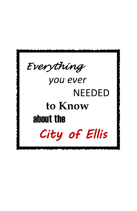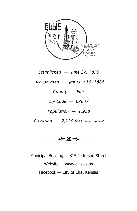

*Established — June 27, 1870* 

*Incorporated — January 10, 1888*

*County — Ellis*

*Zip Code — 67637*

*Population — 1,958*

*Elevation — 2,120 feet above sea level*



Municipal Building — 815 Jefferson Street Website — www.ellis.ks.us Facebook — City of Ellis, Kansas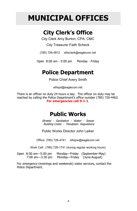## **MUNICIPAL OFFICES**

## **City Clerk's Office**

City Clerk Amy Burton, CPA, CMC

City Treasurer Faith Scheck

(785) 726-4812 ellisclerk@eaglecom.net

Open 8:00 am - 5:00 pm Monday - Friday

### **Police Department**

Police Chief Avery Smith

ellispd@eaglecom.net

There is an officer on duty 24 hours a day. The officer on duty may be reached by calling the Police Department's office number (785) 726-4462. **For emergencies call 9-1-1**.

### **Public Works**

Streets - Sanitation - Water - Sewer Building Codes - Floodplain Regulations

Public Works Director John Leiker

Office: (785) 726-4741 ellispw@eaglecom.net

Work Cell: (785) 726-1741 (during regular working hours)

Open 8:00 am—5:00 pm Monday—Friday (September-May) 7:00 am—3:30 pm Monday—Friday (June-August)

For emergency (evenings and weekends) water services, contact the Police Department.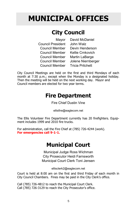# **MUNICIPAL OFFICES**

## **City Council**

|                                 | Mayor David McDaniel |
|---------------------------------|----------------------|
| Council President John Walz     |                      |
| Council Member                  | Devin Henderson      |
| Council Member                  | Kellie Crnkovich     |
| Council Member                  | Martin LaBarge       |
| <b>Council Member</b>           | Jolene Niernberger   |
| Council Member Tricia Pritchett |                      |

City Council Meetings are held on the first and third Mondays of each month at 7:30 p.m.; except when the Monday is a designated holiday. Then the meeting will be held on the next working day. Mayor and Council members are elected for two year terms.

### **Fire Department**

Fire Chief Dustin Vine

ellisfire@eaglecom.net

The Ellis Volunteer Fire Department currently has 20 firefighters. Equipment includes 1999 and 2010 fire trucks.

For administration, call the Fire Chief at (785) 726-4244 (work). **For emergencies call 9-1-1.**

## **Municipal Court**

Municipal Judge Ross Wichman City Prosecutor Heidi Farnsworth Municipal Court Clerk Toni Jensen

ellisclerk2@eaglecom.net

 Court is held at 8:00 am on the first and third Friday of each month in City Council Chambers. Fines may be paid in the City Clerk's office.

Call (785) 726-4812 to reach the Municipal Court Clerk. Call (785) 726-3129 to reach the City Prosecutor's office.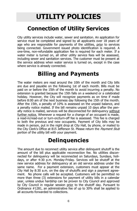## **UTILITY POLICIES**

### **Connection of Utility Services**

City utility services include water, sewer and sanitation. An application for service must be completed and signed by all applicants over 18 years of age who are responsible for payments of the utilities, prior to services being connected. Government issued photo identification is required. A one-time, non-refundable application fee is required for each meter. If a water meter is turned on, all other utility service fees will be assessed, including sewer and sanitation services. The customer must be present at the service address when water service is turned on, except in the case where service is already connected.

### **Billing and Payments**

The water meters are read around the 10th of the month and City bills are due and payable on the following 1st of each month. Bills must be paid on or before the 15th of the month to avoid incurring a penalty. No extension is granted because the 15th falls on a weekend or a celebrated holiday. However, the City will recognize payments as on time if made before 8:00 am of the next business day following the 15th of the month. After the 15th, a penalty of 10% is assessed on the unpaid balance, and a penalty notice mailed. If the bill remains unpaid 10 days after the penalty notice is mailed, services will be disconnected for delinquency without further notice. Whenever a request for a change of an occupant is made, a read-in/read-out or turn-on/turn-off fee is assessed. This fee is charged to both the previous and new occupants. Payment of City bills may be made in person, put in the night drop at City Hall, by phone, or mailed to the City Clerk's Office at 815 Jefferson St. Please return the Payment Stub portion of the utility bill with your payment.

## **Delinquencies**

The amount due to reconnect utility service after delinquent shutoff is the amount of the bill plus applicable reconnection fee. No utilities disconnected for delinquency will be reconnected on Saturdays, Sundays, holidays, or after 4:30 p.m. Monday-Friday. Services will be shutoff at the new service address for delinquency at an old service address under the same name. For a payment extension, customers must appear at the City Hall by 8:30 a.m. on the day of shutoffs and sign a payment agreement. No phone calls will be accepted. Customers will be permitted no more than three (3) extensions for payment of utility bills in a calendar year, unless undue hardship can be proven to City Council and approved by City Council in regular session prior to the shutoff day. Pursuant to Ordinance #1281, an administrative fee of up to 30% shall be applied to all accounts forwarded to collections.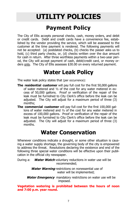## **UTILITY POLICIES**

### **Payment Policy**

The City of Ellis accepts personal checks, cash, money orders, and debit or credit cards. Debit and credit cards have a convenience fee, established by the vendor providing the service, which will be assessed to the customer at the time payment is rendered. The following payments will not be accepted: (a) postdated checks, (b) checks the passer asks us to hold, (c) third party checks, or, (d) checks written over the due amount for cash in return. After three worthless payments within a two-year period, the City will accept payment of cash, debit/credit card, or money orders only. The City of Ellis assesses \$30.00 on every returned payment.

### **Water Leak Policy**

The water leak policy states that (per occurrence):

- **The residential customer** will pay full cost for the first 50,000 gallons of water metered and ½ of the cost for any water metered in excess of 50,000 gallons. Proof or verification of the repair of the leak must be furnished to City Clerk's office before the leak can be adjusted. The City will adjust for a maximum period of three (3) months;
- **The commercial customer** will pay full cost for the first 100,000 gallons of water metered and ½ of the cost for any water metered in excess of 100,000 gallons. Proof or verification of the repair of the leak must be furnished to City Clerk's office before the leak can be adjusted. The City will adjust for a maximum period of three (3) months.

### **Water Conservation**

Whenever conditions indicate a drought, or some other situation is causing a water supply shortage, the governing body of the city is empowered to address the threat. Resolutions declaring the existence and end of the following three special water conditions will be effective upon their publication in the official city newspaper.

During a: **Water Watch** voluntary reductions in water use will be recommended;

> **Water Warning** restrictions on nonessential use of water will be implemented;

**Water Emergency** mandatory restrictions on water use will be imposed.

**Vegetation watering is prohibited between the hours of noon and 7:00 p.m. year round.**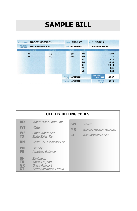## **SAMPLE BILL**

| ANY3-009999-000Z-99<br><b>ACCOUNT NO.</b>                |                  | <b>FROM</b>                   | 10/10/2020   |           | 11/10/2020<br><b>TO</b>                          |               |
|----------------------------------------------------------|------------------|-------------------------------|--------------|-----------|--------------------------------------------------|---------------|
| <b>PROPERTY</b><br>9999 Anywhere St #Z<br><b>ADDRESS</b> |                  | SEQ #.                        | 0009000123   |           | <b>Customer Name</b>                             |               |
| PREV READ                                                | <b>CURR READ</b> |                               | <b>USAGE</b> | CODE      |                                                  | <b>AMOUNT</b> |
| 42                                                       | 46               |                               | 4.0          | <b>WT</b> |                                                  | 31.93         |
| 42                                                       | 46               |                               | 4.0          | <b>WF</b> |                                                  | .13           |
|                                                          |                  |                               |              | <b>BD</b> |                                                  | 26.13         |
|                                                          |                  |                               |              | <b>SW</b> |                                                  | 38.99         |
|                                                          |                  |                               |              | <b>SN</b> |                                                  | 28.14         |
|                                                          |                  |                               |              | <b>TR</b> |                                                  | 9.01          |
|                                                          |                  |                               |              | <b>GR</b> |                                                  | 2.24          |
|                                                          |                  | <b>BILLING</b><br><b>DATE</b> | 11/01/2021   |           | <b>AMOUNT</b><br><b>DUE</b><br><b>CONTRACTOR</b> | 136.57        |
|                                                          |                  | <b>AFTER</b>                  | 11/15/2021   |           | <b>PAY THIS</b><br><b>LATE AMT.</b>              | 150.23        |

|                                           | UTILITY BILLING CODES                                                                   |                              |                                                        |
|-------------------------------------------|-----------------------------------------------------------------------------------------|------------------------------|--------------------------------------------------------|
| <b>BD</b><br><b>WT</b><br>WF<br>TX.       | Water Plant Bond Pmt<br>Water<br>State Water Fee<br>State Sales Tax                     | <b>SW</b><br><b>MR</b><br>CF | Sewer<br>Railroad Museum Roundup<br>Administrative Fee |
| <b>RM</b>                                 | Read In/Out Meter Fee                                                                   |                              |                                                        |
| PN<br><b>PB</b>                           | Penalty<br>Previous Balance                                                             |                              |                                                        |
| <b>SN</b><br><b>TR</b><br><b>GR</b><br>XТ | Sanitation<br>Trash Polycart<br><b>Grass Polycart</b><br><b>Extra Sanitation Pickup</b> |                              |                                                        |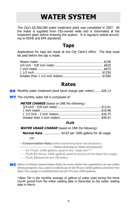## **WATER SYSTEM**

The City's \$5,500,000 water treatment plant was completed in 2007. All the water is supplied from City-owned wells and is chlorinated at the treatment plant before entering the system. It is regularly tested according to KDHE and EPA standards.

#### **Taps**

Applications for taps are made at the City Clerk's office. The fees must be paid before the tap is made.

#### **Rates**

**BD** Monthly water treatment plant bond charge (per meter) ...... \$26.13

**WT** The monthly water bill is composed of:

| <b>METER CHARGE</b> (based on ONE the following): |  |
|---------------------------------------------------|--|
|                                                   |  |
|                                                   |  |
|                                                   |  |
|                                                   |  |
|                                                   |  |

#### **PLUS**

**WATER USAGE CHARGE** (based on ONE the following):

**Normal Rate** .................. \$4.83 per 1000 gallons for all usage

 **OR**

**Conservation Rate** (when Governing Body has declared a **Water Warning or Water Emergency** 

 $\frac{44.74}{x}$  per 1000 gallons used in the "*base tier"* \*

PLUS \$9.48 per 1000 gallons used in excess of the base tier usage

**- PLUS allowances per UB policy** 

WC When in Water Conservation Rate, to work within the capabilities of our utility billing program, ALL water is billed out at \$9.48 per 1000 gallons and then the Base Tier usage is credited back at (\$4.74) per 1000 gallons.

*\*Base Tier* is the monthly average of gallons of water used during the three month period from the meter reading date in December to the meter reading date in March.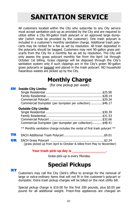## **SANITATION SERVICE**

All customers located within the City who subscribe to any City service must accept sanitation pick-up as provided by the City and are required to utilize either a City 90-gallon trash polycart or an approved large dumpster (which must be provided by the customer). One trash polycart is included in a customer's monthly sanitation charge. Additional trash polycarts may be rented for a fee as set by resolution. All trash deposited in the polycarts should be bagged. Customers may rent 90-gallon grass polycarts from the City for a monthly fee as set by resolution. The City will only assess the grass polycart monthly fee from the April 1st through October 1st billing. Grass clippings will be disposed through the City's sanitation system only if such clippings are in the City's green 90-gallon grass polycarts or bagged and placed in the trash polycart. NO household hazardous wastes are picked up by the City.

### **Monthly Charge**

(for one pickup per week)

#### **SN** Inside City Limits:

 **XT** 

| Commercial Dumpster (per dumpster per collection)  \$46.17 |  |
|------------------------------------------------------------|--|

#### **Outside City Limits:**

| Commercial Dumpster (per dumpster per collection)\$48.41 |  |
|----------------------------------------------------------|--|
|                                                          |  |

\*\* Monthly sanitation charge includes the rental of first trash polycart \*\*

| TR |                                                                       |  |
|----|-----------------------------------------------------------------------|--|
| GR |                                                                       |  |
|    | (grass picked up from April to October & billed from May to November) |  |

#### **Your trash pick-up day is \_\_\_\_\_\_\_\_\_\_\_\_\_\_\_\_\_.**

Grass pick-up is every Monday.

### **Special Pickups**

Customers may call the City Clerk's office to arrange for the removal of large or extra-ordinary items that will not fit in the customer's polycart or dumpster. Extra trash pickup charges will be billed on the next utility bill.

Special pickup charge is \$10.00 for the first 200 pounds, plus \$0.05 per pound for all additional weight. Freon-free appliances are charged an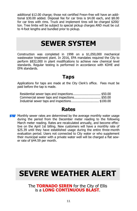additional \$12.00 charge; those not certified Freon-free will have an additional \$30.00 added. Disposal fee for car tires is \$4.00 each, and \$8.00 for car tires with rims. Truck and implement tires will be charged \$200/ ton. Tree limbs will be subject to special pickup charges AND must be cut to 4-foot lengths and bundled prior to pickup.

## **SEWER SYSTEM**

Construction was completed in 1998 on a \$1,050,000 mechanical wastewater treatment plant. In 2016, EPA mandates required the City to perform \$832,000 in plant modifications to achieve new chemical level standards. Regular testing is performed in accordance with KDHE and EPA standards.

#### **Taps**

Applications for taps are made at the City Clerk's office. Fees must be paid before the tap is made.

| Residential sewer taps and inspections \$50.00 |  |
|------------------------------------------------|--|
| Commercial sewer taps and inspections \$50.00  |  |
| Industrial sewer taps and inspections\$100.00  |  |

#### **Rates**

**SW** Monthly sewer rates are determined by the average monthly water usage during the period from the December meter reading to the following March meter reading. Rates are recalculated annually, and become effective on the April 1st billing. New customers will have a monthly rate of \$25.39 until they have established usage during the entire three-month evaluation period. Users not connected to City water or who supplement their municipal water with a private water well will be charged a flat sewer rate of \$44.59 per month.

## **SEVERE WEATHER ALERT**

The **TORNADO SIREN** for the City of Ellis is a **LONG CONTINUOUS BLAST**.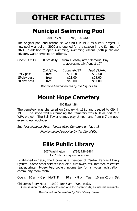# **OTHER FACILITIES**

## **Municipal Swimming Pool**

301 Taylor (785) 726-3130

The original pool and bathhouse was built in 1936 as a WPA project. A new pool was built in 2020 and opened for the season in the Summer of 2021. In addition to open swimming, swimming lessons (both public and private), water aerobics are offered.

| Open: 12:30 - 6:00 pm daily              |                                         | from Tuesday after Memorial Day<br>to approximately August 10 <sup>th</sup> |                                                      |  |
|------------------------------------------|-----------------------------------------|-----------------------------------------------------------------------------|------------------------------------------------------|--|
| Daily pass<br>15-day pass<br>30-day pass | Child $(5\vee)$<br>free<br>free<br>free | Youth (6-12)<br>\$1.50<br>\$21.00<br>\$40.00                                | Adult $(13-\Lambda)$<br>\$2.00<br>\$28.00<br>\$54.00 |  |

Maintained and operated by the City of Ellis

### **Mount Hope Cemetery**

900 East 12th

 The cemetery was chartered on January 4, 1881 and deeded to City in 1935. The stone wall surrounding the Cemetery was built as part of a WPA project. The Bell Tower chimes play at noon and from 6-7 pm each evening April-October.

See Miscellaneous Fees-Mount Hope Cemetery on Page 18.

Maintained and operated by the City of Ellis

### **Ellis Public Library**

907 Washington (785) 726-3464 Ellis Public Library on Facebook

 Established in 1936, the Library is a member of Central Kansas Library System. Some other services include e-sunflower, fax, Internet, microfilm reader/printer, typewriter, copier, income tax forms, voter registration, community room rental.

Open: 10 am - 6 pm MWThF 10 am - 8 pm Tue 10 am -2 pm Sat

Children's Story Hour 10:00-10:45 am Wednesday One session for 4/5-year-olds and one for 3-year-olds, as interest warrants

Maintained and operated by Ellis Library Board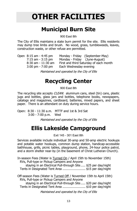# **OTHER FACILITIES**

## **Municipal Burn Site**

900 East 8th

The City of Ellis maintains a state burn permit for the site. Ellis residents may dump tree limbs and brush. No wood, grass, tumbleweeds, leaves, construction waste, or other refuse are permitted.

| Open 8:15 am - 4:45 pm              |                               | Monday - Friday (September-May)        |
|-------------------------------------|-------------------------------|----------------------------------------|
| $7:15$ am - $3:15$ pm               | Monday - Friday (June-August) |                                        |
| $8:30$ am - $11:30$ am              |                               | First and third Saturday of each month |
| $3:00 \text{ pm} - 7:00 \text{ pm}$ | Each Wednesday evening        |                                        |
|                                     |                               |                                        |

Maintained and operated by the City of Ellis

### **Recycling Center**

900 East 8th

The recycling site accepts CLEAN: aluminum cans, steel (tin) cans, plastic jugs and bottles, glass jars and bottles, telephone books, newspapers, catalogs and magazines, cardboard, batteries, mixed papers, and sheet paper. There is an attendant on duty during service hours.

Open: 8:30 - 11:30 a.m. MTTF and 1st & 3rd Sat 3:00 - 7:00 p.m. Wed

Maintained and operated by the City of Ellis

### **Ellis Lakeside Campground**

Exit 145 - 301 East 8th

Services available include individual 30-amp and 50-amp electric hookups and potable water hookups, common dump station, handicap-accessible bathhouse, grills, picnic tables, playground, phone, 24-hour police patrol, and a storm shelter near-by (in the basement of Christ Lutheran Church).

In-season Fees (Water is Turned On / April 15th to November 15th) RVs, Pull-type or Pickup Campers and Anyone staying in an Electrical Pull-through Site..... \$25 per day/night Tents in Designated Tent Area ........................ \$15 per day/night

Off-season Fees (Water is Turned Off / November 15th to April 15th) RVs, Pull-type or Pickup Campers and Anyone staying in an Electrical Pull-through Site..... \$20 per day/night Tents in Designated Tent Area ........................ \$10 per day/night

Maintained and operated by the City of Ellis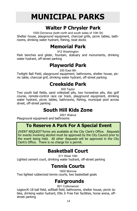# **MUNICIPAL PARKS**

### **Walter P Chrysler Park**

1000 Dorrance (both north and south sides of 10th St) Shelter house, playground equipment, charcoal grills, picnic tables, bathrooms, drinking water hydrant, fishing, boat docks

#### **Memorial Park**

912 Washington

Park benches and glider, fountain, statuary and monuments, drinking water hydrant, off-street parking

### **Playworld Park**

200 East 9th

Twilight Ball Field, playground equipment, bathrooms, shelter house, picnic table, charcoal grill, drinking water hydrant, off-street parking

#### **Creekside Park**

500 Taylor

Two youth ball fields, sand volleyball pits, two horseshoe pits, disc golf course, remote-control race car track, playground equipment, drinking water hydrant, picnic tables, bathrooms, fishing, municipal pool across street, off-street parking

### **South Hill Kids Zone**

2001 Walnut

Playground equipment and bathrooms

٦

#### **To Reserve A Park For A Special Event**

EVENT REQUEST forms are available at the City Clerk's Office. Requests for events involving alcohol must be approved by the City Council prior to the event being held. All other Requests will be approved in the City Clerk's Office. There is no charge for a permit.

#### **Basketball Court**

511 West 10th

Lighted cement court, drinking water hydrant, off-street parking

### **Tennis Courts**

1600 Monroe

Two lighted rubberized tennis courts, two basketball goals

### **Fairgrounds**

801 Cottonwood

Legion/K-18 ball field, softball field, bathrooms, shelter house, picnic tables, drinking water hydrant, Ellis Jr Free Fair facilities, horse arena, offstreet parking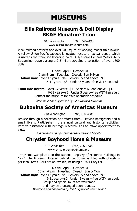## **MUSEUMS**

#### **Ellis Railroad Museum & Doll Display BK&E Miniature Train**

911 Washington (785) 726-4493 www.ellisrailroadmuseum.com

View railroad artifacts and over 500 sq. ft. of working model train layout. A yellow Union Pacific caboose is located next to an actual depot, which is used as the train ride boarding point. A 1/3 scale General Motors Aero Streamliner travels along a 2.5 mile track. See a collection of over 1600 dolls.

 **Open:** April 1-October 31 9 am-3 pm Tues-Sat Closed: Sun & Mon Admission: over 12 years—\$4 Seniors 65 and above—\$3 6-11 years—\$3 Under 5 years—free WITH an adult

**Train ride tickets:** over 12 years—\$4 Seniors 65 and above—\$4 6-11 years—\$3 Under 5 years—free WITH an adult Contact the museum for train operation schedule.

Maintained and operated by Ellis Railroad Museum

#### **Bukovina Society of Americas Museum**

718 Washington (785) 726-3388

 Browse through a collection of artifacts from Bukovina immigrants and a small library. Participate in the annual cultural and historical activities. Receive assistance with heritage research. Call to make appointment to view.

Maintained and operated by the Bukovina Society

#### **Chrysler Boyhood Home & Museum**

102 West 10th (785) 726-3636 www.chryslerboyhoodhome.org

The Home was placed on the National Registry of Historical Buildings in 1952. The Museum, located behind the Home, is filled with Chrysler's personal items. Cars are on exhibit, including a 1924 Chrysler.

 **Open:** April 1-October 31 10 am-4 pm Tues-Sat Closed: Sun & Mon **Admission:** over 12 years—\$4 Seniors 65 and above—\$3 6-11 years—\$2 Under 5 years—free WITH an adult Group and special tours are welcomed and may be a arranged upon request. Maintained and operated by the Chrysler Museum Board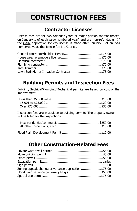## **CONSTRUCTION FEES**

### **Contractor Licenses**

License fees are for two calendar years or major portion thereof (based on January 1 of each even numbered year) and are non-refundable. If the initial application for city license is made after January 1 of an odd numbered year, the license fee is 1/2 price.

| Lawn Sprinkler or Irrigation Contractor\$75.00 |  |
|------------------------------------------------|--|

### **Building Permits and Inspection Fees**

Building/Electrical/Plumbing/Mechanical permits are based on cost of the improvement

Inspection fees are in addition to building permits. The property owner will be billed for the inspections.

### **Other Construction-Related Fees**

| Zoning appeal, change or variance application \$75.00 |  |
|-------------------------------------------------------|--|
|                                                       |  |
|                                                       |  |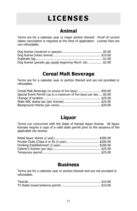# **LICENSES**

### **Animal**

Terms are for a calendar year or major portion thereof. Proof of current rabies vaccination is required at the time of application. License fees are non-refundable.

| Dog license (penalty per month beginning March 1st)  \$2.00 |  |
|-------------------------------------------------------------|--|

#### **Cereal Malt Beverage**

Terms are for a calendar year or portion thereof and are not prorated or refundable.

| Cereal Malt Beverage (in excess of five days)\$50.00                |  |
|---------------------------------------------------------------------|--|
| Special Event Permit (up to a maximum of five days) per day  \$5.00 |  |
|                                                                     |  |
|                                                                     |  |
|                                                                     |  |

### **Liquor**

Terms run concurrent with the State of Kansas liquor license. All liquor licenses require a copy of a valid state permit prior to the issuance of the applicable city license.

#### **Business**

Terms are for a calendar year or portion thereof and are not prorated or refundable.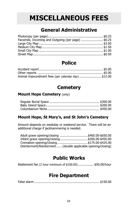## **MISCELLANEOUS FEES**

#### **General Administrative**

| Facsimile, Incoming and Outgoing (per page) \$0.25 |
|----------------------------------------------------|
|                                                    |
|                                                    |
|                                                    |
|                                                    |
|                                                    |

### **Police**

| Animal impoundment fees (per calendar day) \$12.00 |  |
|----------------------------------------------------|--|

#### **Cemetery**

#### **Mount Hope Cemetery** (only)

#### **Mount Hope, St Mary's, and St John's Cemetery**

Amount depends on weekday or weekend service. There will be an additional charge if jackhammering is needed.

| Adult grave opening/closing \$400.00-\$650.00                |
|--------------------------------------------------------------|
| Infant grave opening/closing\$200.00-\$450.00                |
| Cremation opening/closing\$175.00-\$425.00                   |
| Disinterment/Reinterment (double applicable opening/closing) |

#### **Public Works**

Abatement fee (2 hour minimum of \$100.00) ................ \$50.00/hour

#### **Fire Department**

False alarm .................................................................... \$150.00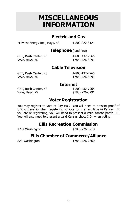## **MISCELLANEOUS INFORMATION**

#### **Electric and Gas**

Midwest Energy Inc., Hays, KS 1-800-222-3121

**Telephone** (land-line)

GBT, Rush Center, KS 1-800-432-7965 Vyve, Hays, KS (785) 726-3291

#### **Cable Television**

GBT, Rush Center, KS 1-800-432-7965 Vyve, Hays, KS (785) 726-3291

#### **Internet**

GBT, Rush Center, KS 1-800-432-7965 Vyve, Hays, KS (785) 726-3291

#### **Voter Registration**

You may register to vote at City Hall. You will need to present proof of U.S. citizenship when registering to vote for the first time in Kansas. If you are re-registering, you will need to present a valid Kansas photo I.D. You will also need to present a valid Kansas photo I.D. when voting.

#### **Ellis Recreation Commission**

1204 Washington (785) 726-3718

#### **Ellis Chamber of Commerce/Alliance**

820 Washington (785) 726-2660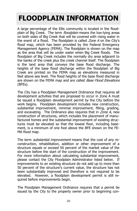# **FLOODPLAIN INFORMATION**

A large percentage of the Ellis community is located in the floodplain of Big Creek. The term *floodplain* means the low-lying areas on both sides of Big Creek that will be covered with rising water in the event of a flood. The floodplain is called Zone A on the City's flood map, which has been provided by the Federal Emergency Management Agency (FEMA). The floodplain is shown on the map as the area that will be under water when Big Creek floods. The floodplain of Big Creek includes the normally dry area adjacent to the banks of the creek plus the creek channel itself. The floodplain is the land area that conveys the base flood discharge. The heights of the base flood discharge within the floodplain of Big Creek are printed on the FEMA map as elevations measured in feet above sea level. The flood heights of the base flood discharge are shown on the FEMA map and are called *Base Flood Elevations* (BFEs).

The City has a Floodplain Management Ordinance that requires all development activities that are proposed to occur in Zone A must be issued a floodplain development permit by the City before the work begins. Floodplain development includes new construction, substantial improvement, minimal improvement, filling, grading, and excavating. The Ordinance also requires that in *Zone A*, new construction of structures, which includes the placement of manufactured homes and the substantial improvement of existing structures must be elevated so that the lowest floor, including basement, is a minimum of one foot above the BFE shown on the FE-MA flood map.

The term *substantial improvement* means that the cost of any reconstruction, rehabilitation, addition or other improvement of a structure equals or exceed 50 percent of the market value of the structure before the start of the construction of the improvement. For more information about calculating substantial improvement, please contact the City Floodplain Administrator listed below. If improvements to an existing structure do not add up to more than 50 percent of the structure's current value, the structure has not been substantially improved and therefore is not required to be elevated. However, a floodplain development permit is still required before improvements begin.

The Floodplain Management Ordinance requires that a permit be issued by the City to the property owner prior to beginning con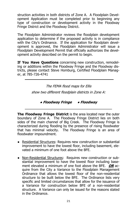struction activities in both districts of Zone A. A Floodplain Development Application must be completed prior to beginning any type of construction or development activity in the Floodway Fringe District and the Floodway District.

The Floodplain Administrator reviews the floodplain development application to determine if the proposed activity is in compliance with the City's Ordinance. If the application for floodplain development is approved, the Floodplain Administrator will issue a Floodplain Development Permit that officially authorizes the development activity described on the permit to begin.

**If You Have Questions** concerning new construction, remodeling or additions within the Floodway Fringe and the Floodway districts, please contact Steve Homburg, Certified Floodplain Manager, at 785-726-4741

> The FEMA flood maps for Ellis show two different floodplain districts in Zone A:

> > **● Floodway Fringe ● Floodway**

**The Floodway Fringe District** is the area located near the outer boundary of Zone A. The Floodway Fringe District lies on both sides of the main channel of Big Creek. The Floodway Fringe is characterized during flooding by the presence of rising floodwater that has minimal velocity. The Floodway Fringe is an area of floodwater impoundment.

- Residential Structures: Requires new construction or substantial improvement to have the lowest floor, including basement, elevated a minimum of one foot above the BFE.
- Non-Residential Structures: Requires new construction or substantial improvement to have the lowest floor including basement elevated a minimum of one foot above the BFE. **OR** acquire from the City a Variance to the Floodplain Management Ordinance that allows the lowest floor of the non-residential structure to be built below the BFE. The Ordinance lists very specific and limited circumstances that allow for the issuance of a Variance for construction below BFE of a non-residential structure. A Variance can only be issued for the reasons stated in the Ordinance.